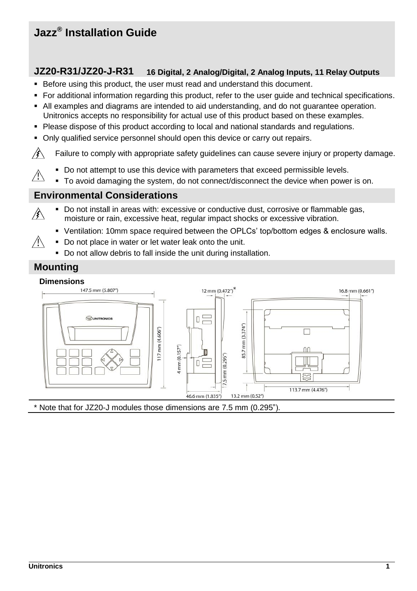# **Jazz® Installation Guide**

# **JZ20-R31/JZ20-J-R31 16 Digital, 2 Analog/Digital, 2 Analog Inputs, 11 Relay Outputs**

- Before using this product, the user must read and understand this document.
- For additional information regarding this product, refer to the user guide and technical specifications.
- All examples and diagrams are intended to aid understanding, and do not guarantee operation. Unitronics accepts no responsibility for actual use of this product based on these examples.
- **Please dispose of this product according to local and national standards and regulations.**
- Only qualified service personnel should open this device or carry out repairs.

∕€∖ Failure to comply with appropriate safety guidelines can cause severe injury or property damage.

- Do not attempt to use this device with parameters that exceed permissible levels.
- Æ To avoid damaging the system, do not connect/disconnect the device when power is on.

## **Environmental Considerations**

- Do not install in areas with: excessive or conductive dust, corrosive or flammable gas, ∕≸∖ moisture or rain, excessive heat, regular impact shocks or excessive vibration.
	- Ventilation: 10mm space required between the OPLCs' top/bottom edges & enclosure walls.
	- Do not place in water or let water leak onto the unit.
		- Do not allow debris to fall inside the unit during installation.

#### **Mounting**

∕!∖



\* Note that for JZ20-J modules those dimensions are 7.5 mm (0.295").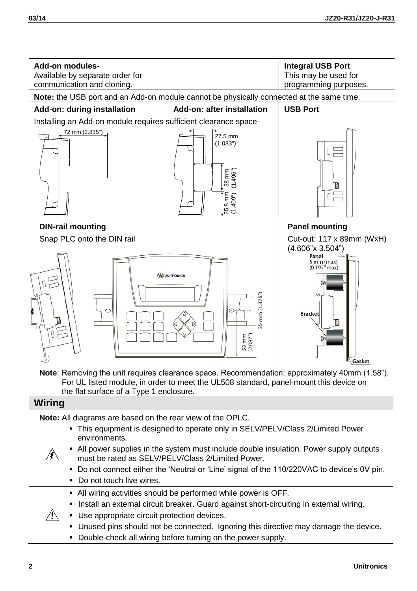

**Note**: Removing the unit requires clearance space. Recommendation: approximately 40mm (1.58"). For UL listed module, in order to meet the UL508 standard, panel-mount this device on the flat surface of a Type 1 enclosure.

## **Wiring**

*∖* 

 $\mathbb{A}$ 

**Note:** All diagrams are based on the rear view of the OPLC.

- This equipment is designed to operate only in SELV/PELV/Class 2/Limited Power environments.
- All power supplies in the system must include double insulation. Power supply outputs must be rated as SELV/PELV/Class 2/Limited Power.
	- Do not connect either the 'Neutral or 'Line' signal of the 110/220VAC to device's 0V pin.
	- Do not touch live wires.
- All wiring activities should be performed while power is OFF.
- Install an external circuit breaker. Guard against short-circuiting in external wiring.
- Use appropriate circuit protection devices.
	- Unused pins should not be connected. Ignoring this directive may damage the device.
	- Double-check all wiring before turning on the power supply.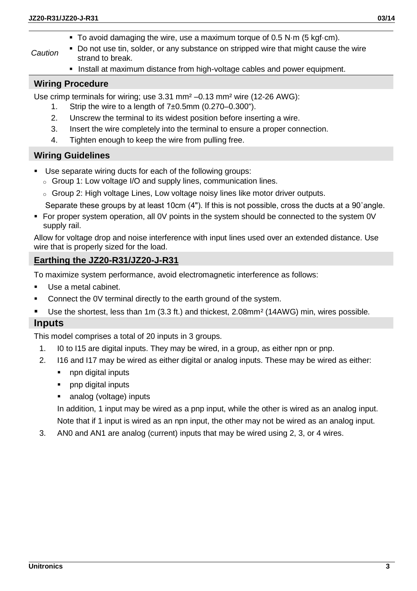- To avoid damaging the wire, use a maximum torque of 0.5 N $\cdot$ m (5 kgf $\cdot$ cm).
- *Caution* Do not use tin, solder, or any substance on stripped wire that might cause the wire strand to break.
	- **Install at maximum distance from high-voltage cables and power equipment.**

#### **Wiring Procedure**

Use crimp terminals for wiring; use  $3.31 \text{ mm}^2 - 0.13 \text{ mm}^2$  wire (12-26 AWG):

- 1. Strip the wire to a length of  $7±0.5$ mm  $(0.270-0.300)$ .
- 2. Unscrew the terminal to its widest position before inserting a wire.
- 3. Insert the wire completely into the terminal to ensure a proper connection.
- 4. Tighten enough to keep the wire from pulling free.

#### **Wiring Guidelines**

- Use separate wiring ducts for each of the following groups:
	- o Group 1: Low voltage I/O and supply lines, communication lines.
	- $\circ$  Group 2: High voltage Lines, Low voltage noisy lines like motor driver outputs.

Separate these groups by at least 10cm (4"). If this is not possible, cross the ducts at a 90˚angle.

 For proper system operation, all 0V points in the system should be connected to the system 0V supply rail.

Allow for voltage drop and noise interference with input lines used over an extended distance. Use wire that is properly sized for the load.

## **Earthing the JZ20-R31/JZ20-J-R31**

To maximize system performance, avoid electromagnetic interference as follows:

- Use a metal cabinet.
- Connect the 0V terminal directly to the earth ground of the system.
- Use the shortest, less than 1m (3.3 ft.) and thickest, 2.08mm<sup>2</sup> (14AWG) min, wires possible.

## **Inputs**

This model comprises a total of 20 inputs in 3 groups.

- 1. I0 to I15 are digital inputs. They may be wired, in a group, as either npn or pnp.
- 2. I16 and I17 may be wired as either digital or analog inputs. These may be wired as either:
	- npn digital inputs
	- pnp digital inputs
	- analog (voltage) inputs

In addition, 1 input may be wired as a pnp input, while the other is wired as an analog input. Note that if 1 input is wired as an npn input, the other may not be wired as an analog input.

3. AN0 and AN1 are analog (current) inputs that may be wired using 2, 3, or 4 wires.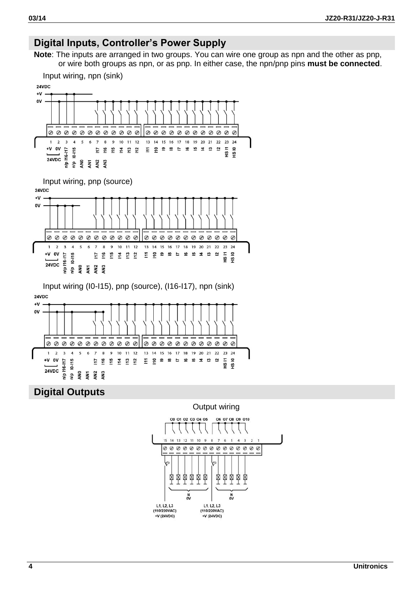# **Digital Inputs, Controller's Power Supply**

**Note**: The inputs are arranged in two groups. You can wire one group as npn and the other as pnp, or wire both groups as npn, or as pnp. In either case, the npn/pnp pins **must be connected**.



南南南南南

 $\frac{N}{2N}$ 

 $1.12.13$ 

(110/220VAC)

+V (24VDC)

肉肉肉肉

 $\frac{N}{2N}$ 

 $111213$ 

(110/220VAC)

+V (24VDC)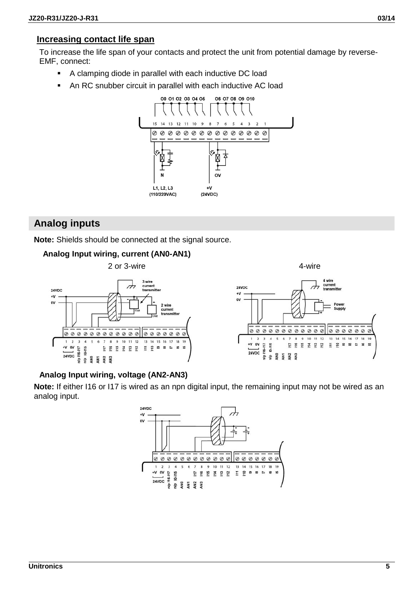#### **Increasing contact life span**

To increase the life span of your contacts and protect the unit from potential damage by reverse-EMF, connect:

- A clamping diode in parallel with each inductive DC load
- An RC snubber circuit in parallel with each inductive AC load



## **Analog inputs**

**Note:** Shields should be connected at the signal source.

#### **Analog Input wiring, current (AN0-AN1)**



#### **Analog Input wiring, voltage (AN2-AN3)**

**Note:** If either I16 or I17 is wired as an npn digital input, the remaining input may not be wired as an analog input.